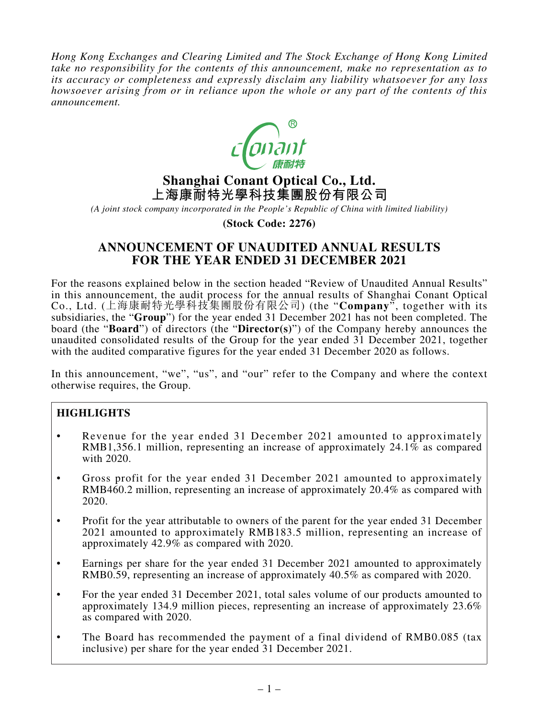*Hong Kong Exchanges and Clearing Limited and The Stock Exchange of Hong Kong Limited take no responsibility for the contents of this announcement, make no representation as to its accuracy or completeness and expressly disclaim any liability whatsoever for any loss howsoever arising from or in reliance upon the whole or any part of the contents of this announcement.*



# **Shanghai Conant Optical Co., Ltd. 上海康耐特光學科技集團股份有限公司**

*(A joint stock company incorporated in the People's Republic of China with limited liability)*

**(Stock Code: 2276)**

# **ANNOUNCEMENT OF UNAUDITED ANNUAL RESULTS FOR THE YEAR ENDED 31 DECEMBER 2021**

For the reasons explained below in the section headed "Review of Unaudited Annual Results" in this announcement, the audit process for the annual results of Shanghai Conant Optical Co., Ltd. (上海康耐特光學科技集團股份有限公司) (the "**Company**", together with its subsidiaries, the "**Group**") for the year ended 31 December 2021 has not been completed. The board (the "**Board**") of directors (the "**Director(s)**") of the Company hereby announces the unaudited consolidated results of the Group for the year ended 31 December 2021, together with the audited comparative figures for the year ended 31 December 2020 as follows.

In this announcement, "we", "us", and "our" refer to the Company and where the context otherwise requires, the Group.

### **HIGHLIGHTS**

- Revenue for the year ended 31 December 2021 amounted to approximately RMB1,356.1 million, representing an increase of approximately 24.1% as compared with 2020.
- • Gross profit for the year ended 31 December 2021 amounted to approximately RMB460.2 million, representing an increase of approximately 20.4% as compared with 2020.
- Profit for the year attributable to owners of the parent for the year ended 31 December 2021 amounted to approximately RMB183.5 million, representing an increase of approximately 42.9% as compared with 2020.
- Earnings per share for the year ended 31 December 2021 amounted to approximately RMB0.59, representing an increase of approximately 40.5% as compared with 2020.
- For the year ended 31 December 2021, total sales volume of our products amounted to approximately 134.9 million pieces, representing an increase of approximately 23.6% as compared with 2020.
- The Board has recommended the payment of a final dividend of RMB0.085 (tax inclusive) per share for the year ended 31 December 2021.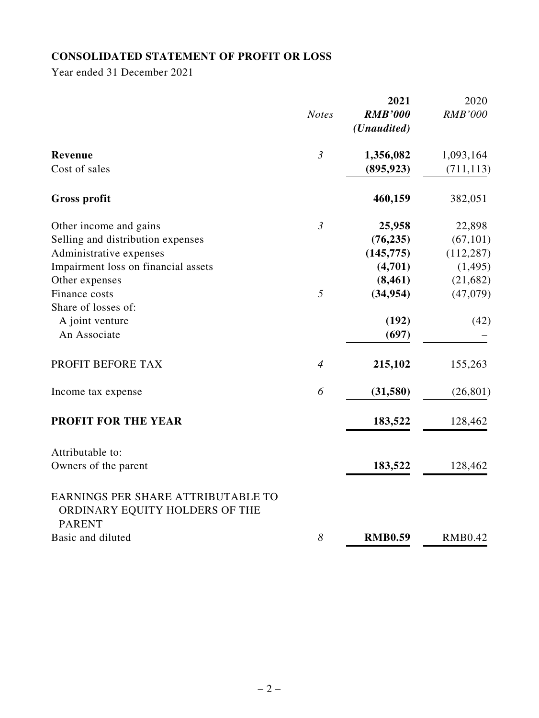# **CONSOLIDATED STATEMENT OF PROFIT OR LOSS**

Year ended 31 December 2021

|                                                                                       |                | 2021           | 2020           |
|---------------------------------------------------------------------------------------|----------------|----------------|----------------|
|                                                                                       | <b>Notes</b>   | <b>RMB'000</b> | <b>RMB'000</b> |
|                                                                                       |                | (Unaudited)    |                |
| Revenue                                                                               | $\mathfrak{Z}$ | 1,356,082      | 1,093,164      |
| Cost of sales                                                                         |                | (895, 923)     | (711, 113)     |
| <b>Gross profit</b>                                                                   |                | 460,159        | 382,051        |
| Other income and gains                                                                | $\mathfrak{Z}$ | 25,958         | 22,898         |
| Selling and distribution expenses                                                     |                | (76, 235)      | (67, 101)      |
| Administrative expenses                                                               |                | (145, 775)     | (112, 287)     |
| Impairment loss on financial assets                                                   |                | (4,701)        | (1, 495)       |
| Other expenses                                                                        |                | (8, 461)       | (21, 682)      |
| Finance costs                                                                         | 5              | (34, 954)      | (47,079)       |
| Share of losses of:                                                                   |                |                |                |
| A joint venture                                                                       |                | (192)          | (42)           |
| An Associate                                                                          |                | (697)          |                |
| PROFIT BEFORE TAX                                                                     | $\overline{4}$ | 215,102        | 155,263        |
| Income tax expense                                                                    | 6              | (31,580)       | (26, 801)      |
| <b>PROFIT FOR THE YEAR</b>                                                            |                | 183,522        | 128,462        |
| Attributable to:                                                                      |                |                |                |
| Owners of the parent                                                                  |                | 183,522        | 128,462        |
| EARNINGS PER SHARE ATTRIBUTABLE TO<br>ORDINARY EQUITY HOLDERS OF THE<br><b>PARENT</b> |                |                |                |
| Basic and diluted                                                                     | 8              | <b>RMB0.59</b> | <b>RMB0.42</b> |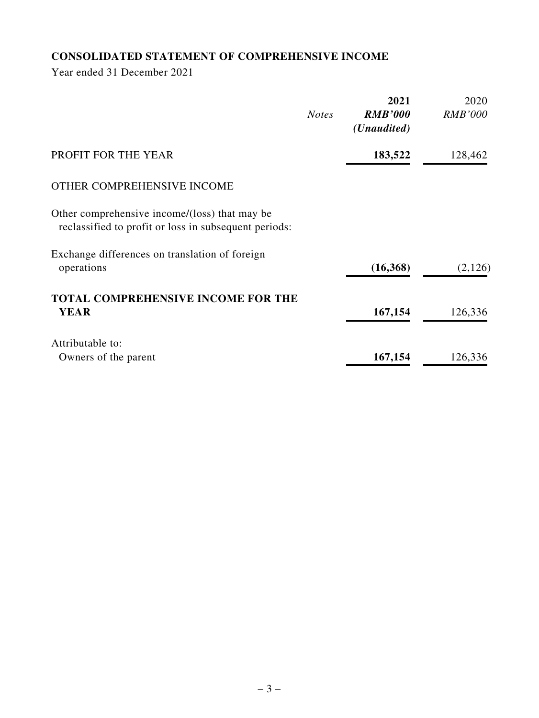# **CONSOLIDATED STATEMENT OF COMPREHENSIVE INCOME**

Year ended 31 December 2021

|                                                                                                        | <b>Notes</b> | 2021<br><b>RMB'000</b><br>( <i>Unaudited</i> ) | 2020<br><b>RMB'000</b> |
|--------------------------------------------------------------------------------------------------------|--------------|------------------------------------------------|------------------------|
| PROFIT FOR THE YEAR                                                                                    |              | 183,522                                        | 128,462                |
| OTHER COMPREHENSIVE INCOME                                                                             |              |                                                |                        |
| Other comprehensive income/(loss) that may be<br>reclassified to profit or loss in subsequent periods: |              |                                                |                        |
| Exchange differences on translation of foreign<br>operations                                           |              | (16, 368)                                      | (2,126)                |
| <b>TOTAL COMPREHENSIVE INCOME FOR THE</b><br><b>YEAR</b>                                               |              | 167,154                                        | 126,336                |
| Attributable to:                                                                                       |              |                                                |                        |
| Owners of the parent                                                                                   |              | 167,154                                        | 126,336                |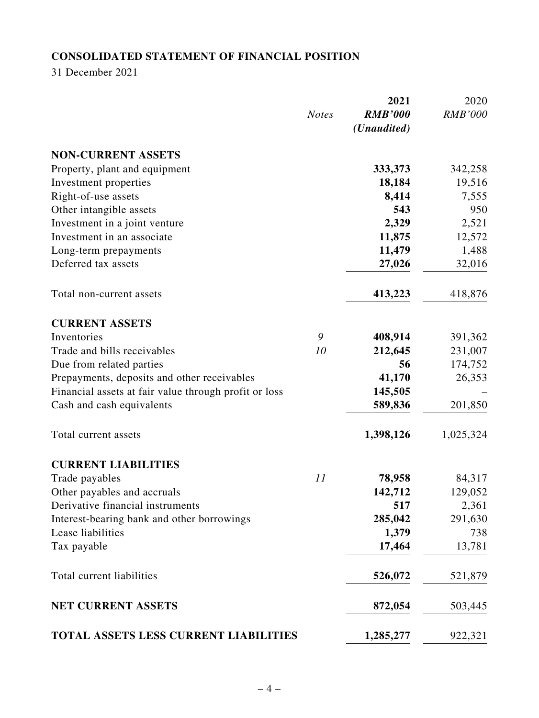# **CONSOLIDATED STATEMENT OF FINANCIAL POSITION**

31 December 2021

|                                                       | <b>Notes</b> | 2021<br><b>RMB'000</b><br>(Unaudited) | 2020<br><b>RMB'000</b> |
|-------------------------------------------------------|--------------|---------------------------------------|------------------------|
| <b>NON-CURRENT ASSETS</b>                             |              |                                       |                        |
| Property, plant and equipment                         |              | 333,373                               | 342,258                |
| Investment properties                                 |              | 18,184                                | 19,516                 |
| Right-of-use assets                                   |              | 8,414                                 | 7,555                  |
| Other intangible assets                               |              | 543                                   | 950                    |
| Investment in a joint venture                         |              | 2,329                                 | 2,521                  |
| Investment in an associate                            |              | 11,875                                | 12,572                 |
| Long-term prepayments                                 |              | 11,479                                | 1,488                  |
| Deferred tax assets                                   |              | 27,026                                | 32,016                 |
| Total non-current assets                              |              | 413,223                               | 418,876                |
| <b>CURRENT ASSETS</b>                                 |              |                                       |                        |
| Inventories                                           | 9            | 408,914                               | 391,362                |
| Trade and bills receivables                           | 10           | 212,645                               | 231,007                |
| Due from related parties                              |              | 56                                    | 174,752                |
| Prepayments, deposits and other receivables           |              | 41,170                                | 26,353                 |
| Financial assets at fair value through profit or loss |              | 145,505                               |                        |
| Cash and cash equivalents                             |              | 589,836                               | 201,850                |
| Total current assets                                  |              | 1,398,126                             | 1,025,324              |
| <b>CURRENT LIABILITIES</b>                            |              |                                       |                        |
| Trade payables                                        | 11           | 78,958                                | 84,317                 |
| Other payables and accruals                           |              | 142,712                               | 129,052                |
| Derivative financial instruments                      |              | 517                                   | 2,361                  |
| Interest-bearing bank and other borrowings            |              | 285,042                               | 291,630                |
| Lease liabilities                                     |              | 1,379                                 | 738                    |
| Tax payable                                           |              | 17,464                                | 13,781                 |
| Total current liabilities                             |              | 526,072                               | 521,879                |
| NET CURRENT ASSETS                                    |              | 872,054                               | 503,445                |
| TOTAL ASSETS LESS CURRENT LIABILITIES                 |              | 1,285,277                             | 922,321                |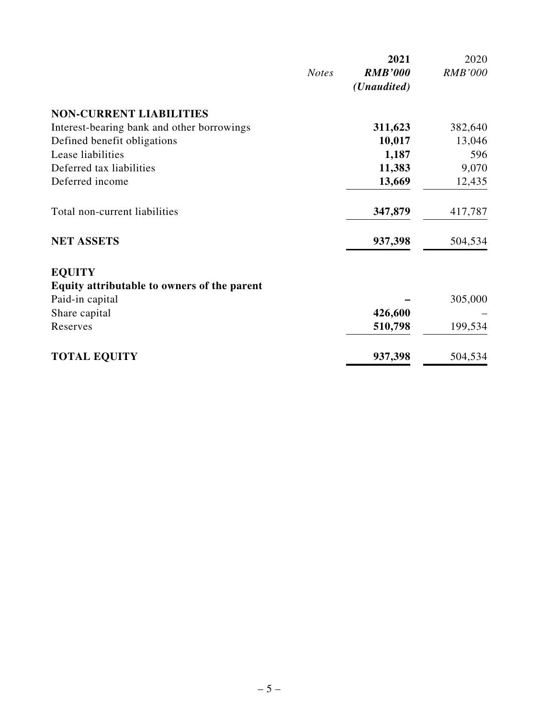|                                             |              | 2021                 | 2020           |
|---------------------------------------------|--------------|----------------------|----------------|
|                                             | <b>Notes</b> | <b>RMB'000</b>       | <b>RMB'000</b> |
|                                             |              | ( <i>Unaudited</i> ) |                |
| <b>NON-CURRENT LIABILITIES</b>              |              |                      |                |
| Interest-bearing bank and other borrowings  |              | 311,623              | 382,640        |
| Defined benefit obligations                 |              | 10,017               | 13,046         |
| Lease liabilities                           |              | 1,187                | 596            |
| Deferred tax liabilities                    |              | 11,383               | 9,070          |
| Deferred income                             |              | 13,669               | 12,435         |
| Total non-current liabilities               |              | 347,879              | 417,787        |
| <b>NET ASSETS</b>                           |              | 937,398              | 504,534        |
| <b>EQUITY</b>                               |              |                      |                |
| Equity attributable to owners of the parent |              |                      |                |
| Paid-in capital                             |              |                      | 305,000        |
| Share capital                               |              | 426,600              |                |
| Reserves                                    |              | 510,798              | 199,534        |
| <b>TOTAL EQUITY</b>                         |              | 937,398              | 504,534        |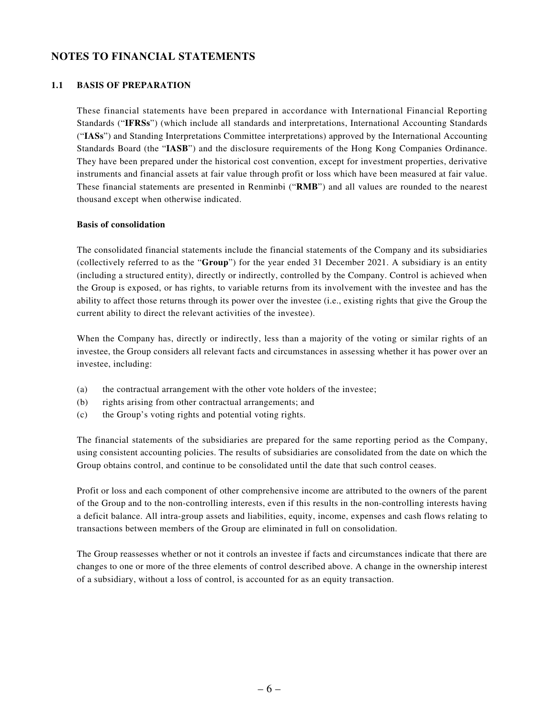### **NOTES TO FINANCIAL STATEMENTS**

#### **1.1 BASIS OF PREPARATION**

These financial statements have been prepared in accordance with International Financial Reporting Standards ("**IFRSs**") (which include all standards and interpretations, International Accounting Standards ("**IASs**") and Standing Interpretations Committee interpretations) approved by the International Accounting Standards Board (the "**IASB**") and the disclosure requirements of the Hong Kong Companies Ordinance. They have been prepared under the historical cost convention, except for investment properties, derivative instruments and financial assets at fair value through profit or loss which have been measured at fair value. These financial statements are presented in Renminbi ("**RMB**") and all values are rounded to the nearest thousand except when otherwise indicated.

#### **Basis of consolidation**

The consolidated financial statements include the financial statements of the Company and its subsidiaries (collectively referred to as the "**Group**") for the year ended 31 December 2021. A subsidiary is an entity (including a structured entity), directly or indirectly, controlled by the Company. Control is achieved when the Group is exposed, or has rights, to variable returns from its involvement with the investee and has the ability to affect those returns through its power over the investee (i.e., existing rights that give the Group the current ability to direct the relevant activities of the investee).

When the Company has, directly or indirectly, less than a majority of the voting or similar rights of an investee, the Group considers all relevant facts and circumstances in assessing whether it has power over an investee, including:

- (a) the contractual arrangement with the other vote holders of the investee;
- (b) rights arising from other contractual arrangements; and
- (c) the Group's voting rights and potential voting rights.

The financial statements of the subsidiaries are prepared for the same reporting period as the Company, using consistent accounting policies. The results of subsidiaries are consolidated from the date on which the Group obtains control, and continue to be consolidated until the date that such control ceases.

Profit or loss and each component of other comprehensive income are attributed to the owners of the parent of the Group and to the non-controlling interests, even if this results in the non-controlling interests having a deficit balance. All intra-group assets and liabilities, equity, income, expenses and cash flows relating to transactions between members of the Group are eliminated in full on consolidation.

The Group reassesses whether or not it controls an investee if facts and circumstances indicate that there are changes to one or more of the three elements of control described above. A change in the ownership interest of a subsidiary, without a loss of control, is accounted for as an equity transaction.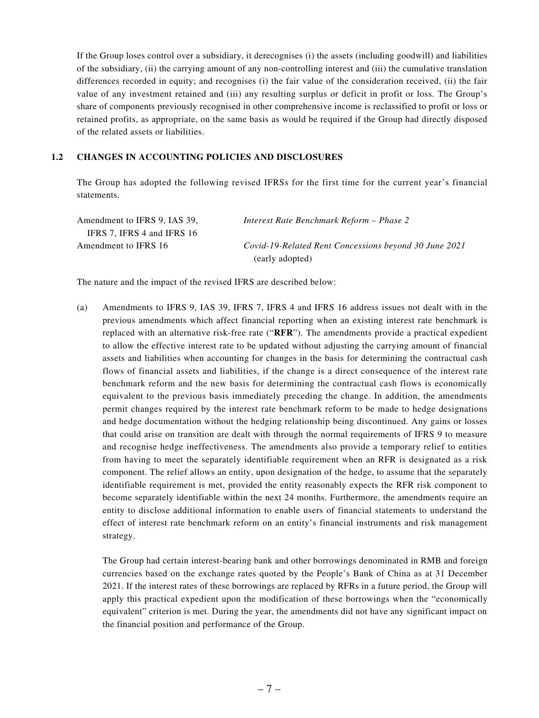If the Group loses control over a subsidiary, it derecognises (i) the assets (including goodwill) and liabilities of the subsidiary, (ii) the carrying amount of any non-controlling interest and (iii) the cumulative translation differences recorded in equity; and recognises (i) the fair value of the consideration received, (ii) the fair value of any investment retained and (iii) any resulting surplus or deficit in profit or loss. The Group's share of components previously recognised in other comprehensive income is reclassified to profit or loss or retained profits, as appropriate, on the same basis as would be required if the Group had directly disposed of the related assets or liabilities.

#### **1.2 CHANGES IN ACCOUNTING POLICIES AND DISCLOSURES**

The Group has adopted the following revised IFRSs for the first time for the current year's financial statements.

| Amendment to IFRS 9, IAS 39, | Interest Rate Benchmark Reform – Phase 2              |
|------------------------------|-------------------------------------------------------|
| IFRS 7, IFRS 4 and IFRS 16   |                                                       |
| Amendment to IFRS 16         | Covid-19-Related Rent Concessions beyond 30 June 2021 |
|                              | (early adopted)                                       |

The nature and the impact of the revised IFRS are described below:

(a) Amendments to IFRS 9, IAS 39, IFRS 7, IFRS 4 and IFRS 16 address issues not dealt with in the previous amendments which affect financial reporting when an existing interest rate benchmark is replaced with an alternative risk-free rate ("**RFR**"). The amendments provide a practical expedient to allow the effective interest rate to be updated without adjusting the carrying amount of financial assets and liabilities when accounting for changes in the basis for determining the contractual cash flows of financial assets and liabilities, if the change is a direct consequence of the interest rate benchmark reform and the new basis for determining the contractual cash flows is economically equivalent to the previous basis immediately preceding the change. In addition, the amendments permit changes required by the interest rate benchmark reform to be made to hedge designations and hedge documentation without the hedging relationship being discontinued. Any gains or losses that could arise on transition are dealt with through the normal requirements of IFRS 9 to measure and recognise hedge ineffectiveness. The amendments also provide a temporary relief to entities from having to meet the separately identifiable requirement when an RFR is designated as a risk component. The relief allows an entity, upon designation of the hedge, to assume that the separately identifiable requirement is met, provided the entity reasonably expects the RFR risk component to become separately identifiable within the next 24 months. Furthermore, the amendments require an entity to disclose additional information to enable users of financial statements to understand the effect of interest rate benchmark reform on an entity's financial instruments and risk management strategy.

The Group had certain interest-bearing bank and other borrowings denominated in RMB and foreign currencies based on the exchange rates quoted by the People's Bank of China as at 31 December 2021. If the interest rates of these borrowings are replaced by RFRs in a future period, the Group will apply this practical expedient upon the modification of these borrowings when the "economically equivalent" criterion is met. During the year, the amendments did not have any significant impact on the financial position and performance of the Group.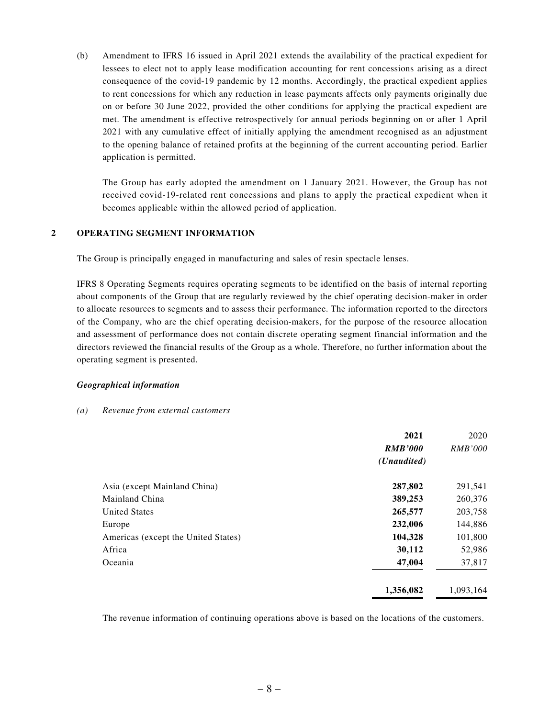(b) Amendment to IFRS 16 issued in April 2021 extends the availability of the practical expedient for lessees to elect not to apply lease modification accounting for rent concessions arising as a direct consequence of the covid-19 pandemic by 12 months. Accordingly, the practical expedient applies to rent concessions for which any reduction in lease payments affects only payments originally due on or before 30 June 2022, provided the other conditions for applying the practical expedient are met. The amendment is effective retrospectively for annual periods beginning on or after 1 April 2021 with any cumulative effect of initially applying the amendment recognised as an adjustment to the opening balance of retained profits at the beginning of the current accounting period. Earlier application is permitted.

The Group has early adopted the amendment on 1 January 2021. However, the Group has not received covid-19-related rent concessions and plans to apply the practical expedient when it becomes applicable within the allowed period of application.

#### **2 OPERATING SEGMENT INFORMATION**

The Group is principally engaged in manufacturing and sales of resin spectacle lenses.

IFRS 8 Operating Segments requires operating segments to be identified on the basis of internal reporting about components of the Group that are regularly reviewed by the chief operating decision-maker in order to allocate resources to segments and to assess their performance. The information reported to the directors of the Company, who are the chief operating decision-makers, for the purpose of the resource allocation and assessment of performance does not contain discrete operating segment financial information and the directors reviewed the financial results of the Group as a whole. Therefore, no further information about the operating segment is presented.

#### *Geographical information*

#### *(a) Revenue from external customers*

|                                     | 2021<br><b>RMB'000</b><br>( <i>Unaudited</i> ) | 2020<br><i>RMB'000</i> |
|-------------------------------------|------------------------------------------------|------------------------|
| Asia (except Mainland China)        | 287,802                                        | 291,541                |
| Mainland China                      | 389,253                                        | 260,376                |
| <b>United States</b>                | 265,577                                        | 203,758                |
| Europe                              | 232,006                                        | 144,886                |
| Americas (except the United States) | 104,328                                        | 101,800                |
| Africa                              | 30,112                                         | 52,986                 |
| Oceania                             | 47,004                                         | 37,817                 |
|                                     | 1,356,082                                      | 1.093.164              |

The revenue information of continuing operations above is based on the locations of the customers.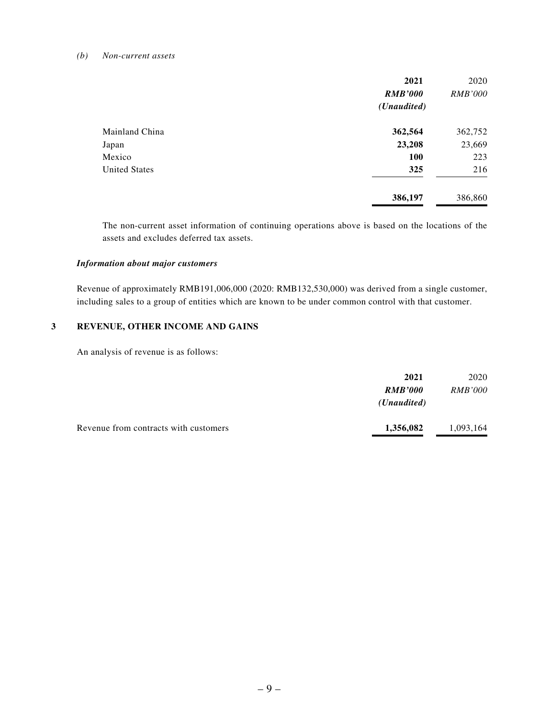#### *(b) Non-current assets*

|                      | 2021           | 2020           |
|----------------------|----------------|----------------|
|                      | <b>RMB'000</b> | <b>RMB'000</b> |
|                      | (Unaudited)    |                |
| Mainland China       | 362,564        | 362,752        |
| Japan                | 23,208         | 23,669         |
| Mexico               | <b>100</b>     | 223            |
| <b>United States</b> | 325            | 216            |
|                      | 386,197        | 386,860        |

The non-current asset information of continuing operations above is based on the locations of the assets and excludes deferred tax assets.

#### *Information about major customers*

Revenue of approximately RMB191,006,000 (2020: RMB132,530,000) was derived from a single customer, including sales to a group of entities which are known to be under common control with that customer.

#### **3 REVENUE, OTHER INCOME AND GAINS**

An analysis of revenue is as follows:

|                                       | 2021                 | 2020           |
|---------------------------------------|----------------------|----------------|
|                                       | <b>RMB'000</b>       | <i>RMB'000</i> |
|                                       | ( <i>Unaudited</i> ) |                |
| Revenue from contracts with customers | 1,356,082            | 1,093,164      |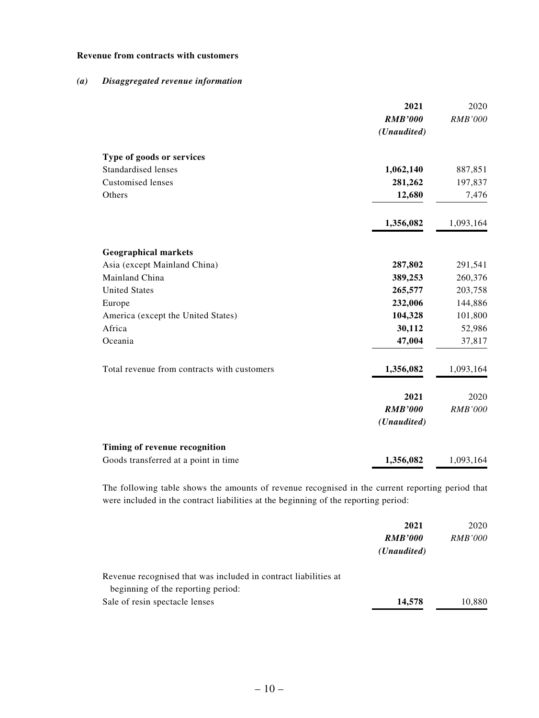#### **Revenue from contracts with customers**

#### *(a) Disaggregated revenue information*

|                                             | 2021           | 2020           |
|---------------------------------------------|----------------|----------------|
|                                             | <b>RMB'000</b> | <b>RMB'000</b> |
|                                             | (Unaudited)    |                |
| Type of goods or services                   |                |                |
| <b>Standardised lenses</b>                  | 1,062,140      | 887,851        |
| <b>Customised lenses</b>                    | 281,262        | 197,837        |
| Others                                      | 12,680         | 7,476          |
|                                             | 1,356,082      | 1,093,164      |
| <b>Geographical markets</b>                 |                |                |
| Asia (except Mainland China)                | 287,802        | 291,541        |
| Mainland China                              | 389,253        | 260,376        |
| <b>United States</b>                        | 265,577        | 203,758        |
| Europe                                      | 232,006        | 144,886        |
| America (except the United States)          | 104,328        | 101,800        |
| Africa                                      | 30,112         | 52,986         |
| Oceania                                     | 47,004         | 37,817         |
| Total revenue from contracts with customers | 1,356,082      | 1,093,164      |
|                                             | 2021           | 2020           |
|                                             | <b>RMB'000</b> | <b>RMB'000</b> |
|                                             | (Unaudited)    |                |
| Timing of revenue recognition               |                |                |
| Goods transferred at a point in time        | 1,356,082      | 1,093,164      |

The following table shows the amounts of revenue recognised in the current reporting period that were included in the contract liabilities at the beginning of the reporting period:

|                                                                 | 2021                 | 2020           |
|-----------------------------------------------------------------|----------------------|----------------|
|                                                                 | <b>RMB'000</b>       | <i>RMB'000</i> |
|                                                                 | ( <i>Unaudited</i> ) |                |
| Revenue recognised that was included in contract liabilities at |                      |                |
| beginning of the reporting period:                              |                      |                |
| Sale of resin spectacle lenses                                  | 14,578               | 10,880         |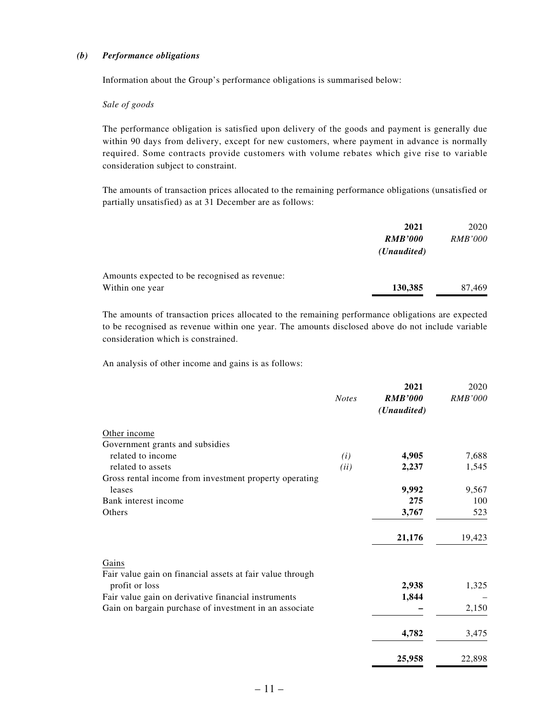#### *(b) Performance obligations*

Information about the Group's performance obligations is summarised below:

#### *Sale of goods*

The performance obligation is satisfied upon delivery of the goods and payment is generally due within 90 days from delivery, except for new customers, where payment in advance is normally required. Some contracts provide customers with volume rebates which give rise to variable consideration subject to constraint.

The amounts of transaction prices allocated to the remaining performance obligations (unsatisfied or partially unsatisfied) as at 31 December are as follows:

|                                               | 2021                 | 2020           |
|-----------------------------------------------|----------------------|----------------|
|                                               | <b>RMB'000</b>       | <i>RMB'000</i> |
|                                               | ( <i>Unaudited</i> ) |                |
| Amounts expected to be recognised as revenue: |                      |                |
| Within one year                               | 130,385              | 87,469         |

The amounts of transaction prices allocated to the remaining performance obligations are expected to be recognised as revenue within one year. The amounts disclosed above do not include variable consideration which is constrained.

An analysis of other income and gains is as follows:

|                                                           | <b>Notes</b> | 2021<br><b>RMB'000</b><br>(Unaudited) | 2020<br><i>RMB'000</i> |
|-----------------------------------------------------------|--------------|---------------------------------------|------------------------|
| Other income                                              |              |                                       |                        |
| Government grants and subsidies                           |              |                                       |                        |
| related to income                                         | (i)          | 4,905                                 | 7,688                  |
| related to assets                                         | (ii)         | 2,237                                 | 1,545                  |
| Gross rental income from investment property operating    |              |                                       |                        |
| leases                                                    |              | 9,992                                 | 9,567                  |
| Bank interest income                                      |              | 275                                   | 100                    |
| Others                                                    |              | 3,767                                 | 523                    |
|                                                           |              | 21,176                                | 19,423                 |
| Gains                                                     |              |                                       |                        |
| Fair value gain on financial assets at fair value through |              |                                       |                        |
| profit or loss                                            |              | 2,938                                 | 1,325                  |
| Fair value gain on derivative financial instruments       |              | 1,844                                 |                        |
| Gain on bargain purchase of investment in an associate    |              |                                       | 2,150                  |
|                                                           |              | 4,782                                 | 3,475                  |
|                                                           |              | 25,958                                | 22,898                 |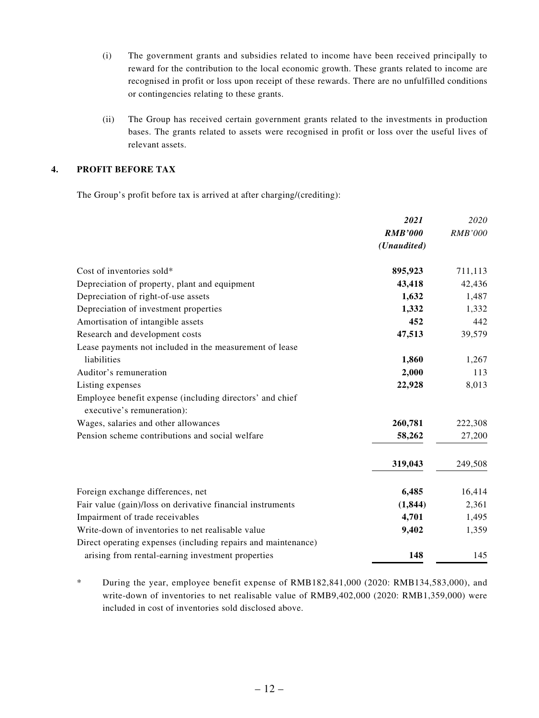- (i) The government grants and subsidies related to income have been received principally to reward for the contribution to the local economic growth. These grants related to income are recognised in profit or loss upon receipt of these rewards. There are no unfulfilled conditions or contingencies relating to these grants.
- (ii) The Group has received certain government grants related to the investments in production bases. The grants related to assets were recognised in profit or loss over the useful lives of relevant assets.

#### **4. PROFIT BEFORE TAX**

The Group's profit before tax is arrived at after charging/(crediting):

|                                                               | 2021           | 2020           |
|---------------------------------------------------------------|----------------|----------------|
|                                                               | <b>RMB'000</b> | <b>RMB'000</b> |
|                                                               | (Unaudited)    |                |
| Cost of inventories sold*                                     | 895,923        | 711,113        |
| Depreciation of property, plant and equipment                 | 43,418         | 42,436         |
| Depreciation of right-of-use assets                           | 1,632          | 1,487          |
| Depreciation of investment properties                         | 1,332          | 1,332          |
| Amortisation of intangible assets                             | 452            | 442            |
| Research and development costs                                | 47,513         | 39,579         |
| Lease payments not included in the measurement of lease       |                |                |
| liabilities                                                   | 1,860          | 1,267          |
| Auditor's remuneration                                        | 2,000          | 113            |
| Listing expenses                                              | 22,928         | 8,013          |
| Employee benefit expense (including directors' and chief      |                |                |
| executive's remuneration):                                    |                |                |
| Wages, salaries and other allowances                          | 260,781        | 222,308        |
| Pension scheme contributions and social welfare               | 58,262         | 27,200         |
|                                                               | 319,043        | 249,508        |
| Foreign exchange differences, net                             | 6,485          | 16,414         |
| Fair value (gain)/loss on derivative financial instruments    | (1, 844)       | 2,361          |
| Impairment of trade receivables                               | 4,701          | 1,495          |
| Write-down of inventories to net realisable value             | 9,402          | 1,359          |
| Direct operating expenses (including repairs and maintenance) |                |                |
| arising from rental-earning investment properties             | 148            | 145            |

\* During the year, employee benefit expense of RMB182,841,000 (2020: RMB134,583,000), and write-down of inventories to net realisable value of RMB9,402,000 (2020: RMB1,359,000) were included in cost of inventories sold disclosed above.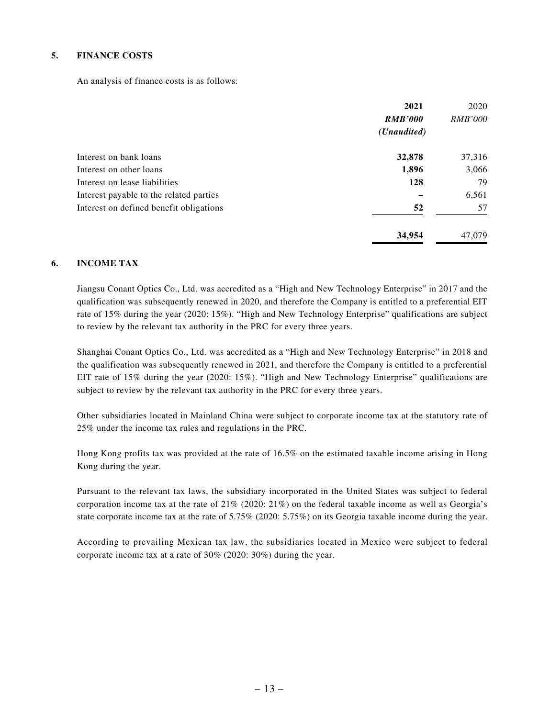#### **5. FINANCE COSTS**

An analysis of finance costs is as follows:

|                                               | 2021           | 2020           |
|-----------------------------------------------|----------------|----------------|
|                                               | <b>RMB'000</b> | <i>RMB'000</i> |
|                                               | (Unaudited)    |                |
| Interest on bank loans                        | 32,878         | 37,316         |
| Interest on other loans                       | 1,896          | 3,066          |
| Interest on lease liabilities                 | 128            | 79             |
| Interest payable to the related parties       |                | 6,561          |
| 52<br>Interest on defined benefit obligations |                | 57             |
|                                               | 34,954         | 47,079         |

#### **6. INCOME TAX**

Jiangsu Conant Optics Co., Ltd. was accredited as a "High and New Technology Enterprise" in 2017 and the qualification was subsequently renewed in 2020, and therefore the Company is entitled to a preferential EIT rate of 15% during the year (2020: 15%). "High and New Technology Enterprise" qualifications are subject to review by the relevant tax authority in the PRC for every three years.

Shanghai Conant Optics Co., Ltd. was accredited as a "High and New Technology Enterprise" in 2018 and the qualification was subsequently renewed in 2021, and therefore the Company is entitled to a preferential EIT rate of 15% during the year (2020: 15%). "High and New Technology Enterprise" qualifications are subject to review by the relevant tax authority in the PRC for every three years.

Other subsidiaries located in Mainland China were subject to corporate income tax at the statutory rate of 25% under the income tax rules and regulations in the PRC.

Hong Kong profits tax was provided at the rate of 16.5% on the estimated taxable income arising in Hong Kong during the year.

Pursuant to the relevant tax laws, the subsidiary incorporated in the United States was subject to federal corporation income tax at the rate of 21% (2020: 21%) on the federal taxable income as well as Georgia's state corporate income tax at the rate of 5.75% (2020: 5.75%) on its Georgia taxable income during the year.

According to prevailing Mexican tax law, the subsidiaries located in Mexico were subject to federal corporate income tax at a rate of 30% (2020: 30%) during the year.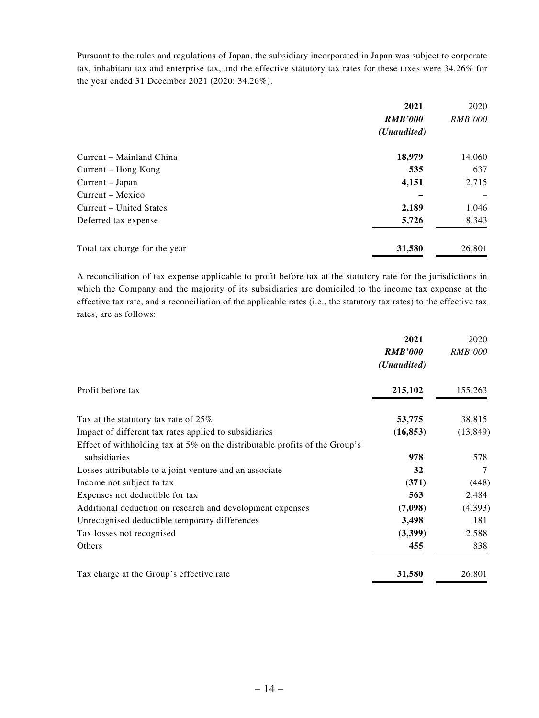Pursuant to the rules and regulations of Japan, the subsidiary incorporated in Japan was subject to corporate tax, inhabitant tax and enterprise tax, and the effective statutory tax rates for these taxes were 34.26% for the year ended 31 December 2021 (2020: 34.26%).

|                               | 2021                 | 2020           |
|-------------------------------|----------------------|----------------|
|                               | <b>RMB'000</b>       | <i>RMB'000</i> |
|                               | ( <i>Unaudited</i> ) |                |
| Current - Mainland China      | 18,979               | 14,060         |
| Current – Hong Kong           | 535                  | 637            |
| Current – Japan               | 4,151                | 2,715          |
| Current – Mexico              |                      |                |
| Current – United States       | 2,189                | 1,046          |
| Deferred tax expense          | 5,726                | 8,343          |
| Total tax charge for the year | 31,580               | 26,801         |

A reconciliation of tax expense applicable to profit before tax at the statutory rate for the jurisdictions in which the Company and the majority of its subsidiaries are domiciled to the income tax expense at the effective tax rate, and a reconciliation of the applicable rates (i.e., the statutory tax rates) to the effective tax rates, are as follows:

|                                                                                | 2021           | 2020      |
|--------------------------------------------------------------------------------|----------------|-----------|
|                                                                                | <b>RMB'000</b> | RMB'000   |
|                                                                                | (Unaudited)    |           |
| Profit before tax                                                              | 215,102        | 155,263   |
| Tax at the statutory tax rate of $25\%$                                        | 53,775         | 38,815    |
| Impact of different tax rates applied to subsidiaries                          | (16, 853)      | (13, 849) |
| Effect of withholding tax at $5\%$ on the distributable profits of the Group's |                |           |
| subsidiaries                                                                   | 978            | 578       |
| Losses attributable to a joint venture and an associate                        | 32             | 7         |
| Income not subject to tax                                                      | (371)          | (448)     |
| Expenses not deductible for tax                                                | 563            | 2,484     |
| Additional deduction on research and development expenses                      | (7,098)        | (4,393)   |
| Unrecognised deductible temporary differences                                  | 3,498          | 181       |
| Tax losses not recognised                                                      | (3,399)        | 2,588     |
| Others                                                                         | 455            | 838       |
| Tax charge at the Group's effective rate                                       | 31,580         | 26,801    |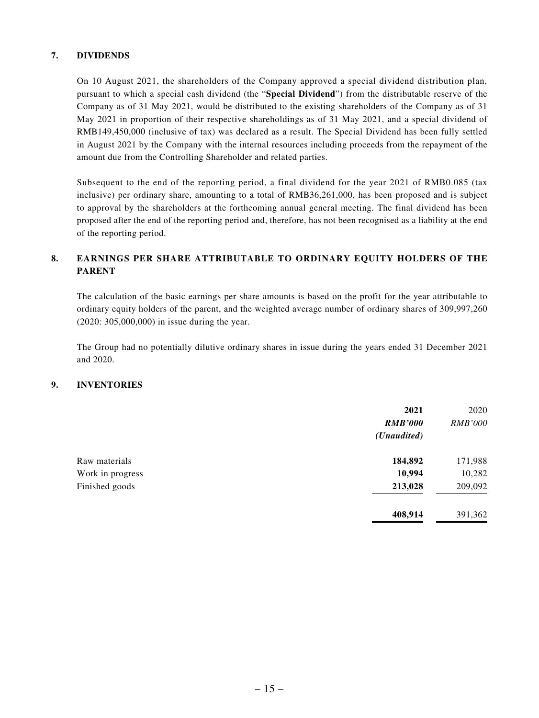#### **7. DIVIDENDS**

On 10 August 2021, the shareholders of the Company approved a special dividend distribution plan, pursuant to which a special cash dividend (the "**Special Dividend**") from the distributable reserve of the Company as of 31 May 2021, would be distributed to the existing shareholders of the Company as of 31 May 2021 in proportion of their respective shareholdings as of 31 May 2021, and a special dividend of RMB149,450,000 (inclusive of tax) was declared as a result. The Special Dividend has been fully settled in August 2021 by the Company with the internal resources including proceeds from the repayment of the amount due from the Controlling Shareholder and related parties.

Subsequent to the end of the reporting period, a final dividend for the year 2021 of RMB0.085 (tax inclusive) per ordinary share, amounting to a total of RMB36,261,000, has been proposed and is subject to approval by the shareholders at the forthcoming annual general meeting. The final dividend has been proposed after the end of the reporting period and, therefore, has not been recognised as a liability at the end of the reporting period.

#### **8. EARNINGS PER SHARE ATTRIBUTABLE TO ORDINARY EQUITY HOLDERS OF THE PARENT**

The calculation of the basic earnings per share amounts is based on the profit for the year attributable to ordinary equity holders of the parent, and the weighted average number of ordinary shares of 309,997,260 (2020: 305,000,000) in issue during the year.

The Group had no potentially dilutive ordinary shares in issue during the years ended 31 December 2021 and 2020.

#### **9. INVENTORIES**

|                  | 2021<br><b>RMB'000</b><br>(Unaudited) | 2020<br><b>RMB'000</b> |
|------------------|---------------------------------------|------------------------|
| Raw materials    | 184,892                               | 171,988                |
| Work in progress | 10,994                                | 10,282                 |
| Finished goods   | 213,028                               | 209,092                |
|                  | 408,914                               | 391,362                |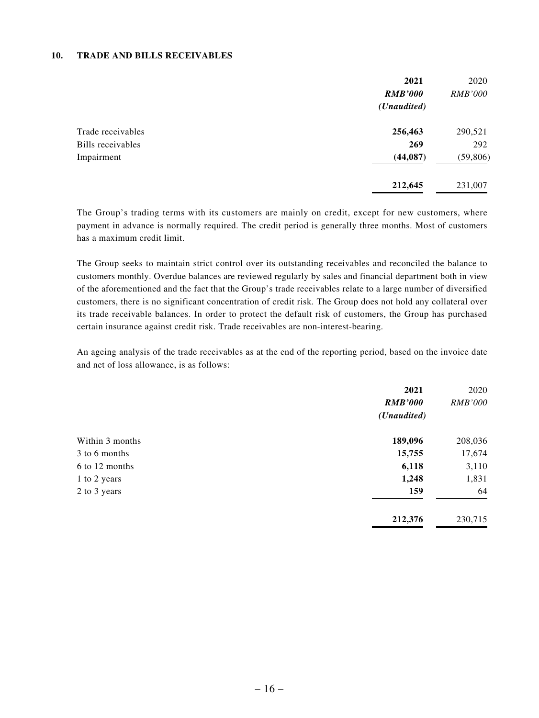#### **10. TRADE AND BILLS RECEIVABLES**

|                   | 2021           | 2020           |
|-------------------|----------------|----------------|
|                   | <b>RMB'000</b> | <i>RMB'000</i> |
|                   | (Unaudited)    |                |
| Trade receivables | 256,463        | 290,521        |
| Bills receivables | 269            | 292            |
| Impairment        | (44, 087)      | (59, 806)      |
|                   | 212,645        | 231,007        |

The Group's trading terms with its customers are mainly on credit, except for new customers, where payment in advance is normally required. The credit period is generally three months. Most of customers has a maximum credit limit.

The Group seeks to maintain strict control over its outstanding receivables and reconciled the balance to customers monthly. Overdue balances are reviewed regularly by sales and financial department both in view of the aforementioned and the fact that the Group's trade receivables relate to a large number of diversified customers, there is no significant concentration of credit risk. The Group does not hold any collateral over its trade receivable balances. In order to protect the default risk of customers, the Group has purchased certain insurance against credit risk. Trade receivables are non-interest-bearing.

An ageing analysis of the trade receivables as at the end of the reporting period, based on the invoice date and net of loss allowance, is as follows:

|                 | 2021                 | 2020           |
|-----------------|----------------------|----------------|
|                 | <b>RMB'000</b>       | <b>RMB'000</b> |
|                 | ( <i>Unaudited</i> ) |                |
| Within 3 months | 189,096              | 208,036        |
| 3 to 6 months   | 15,755               | 17,674         |
| 6 to 12 months  | 6,118                | 3,110          |
| 1 to 2 years    | 1,248                | 1,831          |
| 2 to 3 years    | 159                  | 64             |
|                 | 212,376              | 230,715        |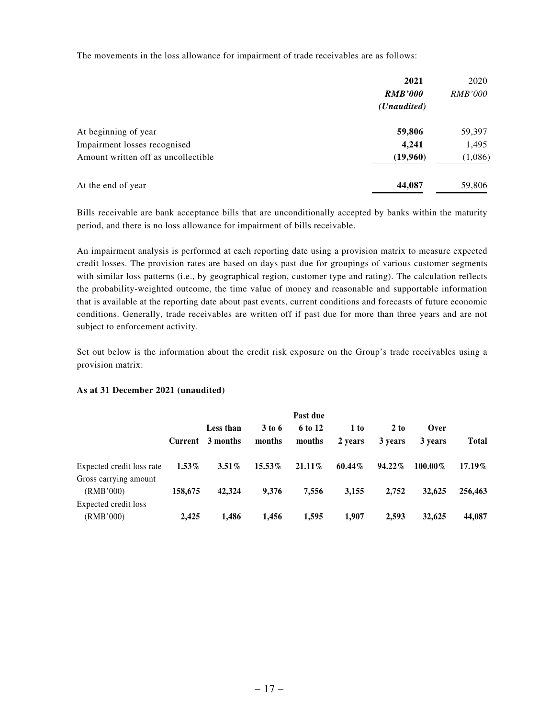The movements in the loss allowance for impairment of trade receivables are as follows:

|                                     | 2021                 | 2020           |
|-------------------------------------|----------------------|----------------|
|                                     | <b>RMB'000</b>       | <i>RMB'000</i> |
|                                     | ( <i>Unaudited</i> ) |                |
| At beginning of year                | 59,806               | 59,397         |
| Impairment losses recognised        | 4,241                | 1,495          |
| Amount written off as uncollectible | (19,960)             | (1,086)        |
| At the end of year                  | 44,087               | 59,806         |

Bills receivable are bank acceptance bills that are unconditionally accepted by banks within the maturity period, and there is no loss allowance for impairment of bills receivable.

An impairment analysis is performed at each reporting date using a provision matrix to measure expected credit losses. The provision rates are based on days past due for groupings of various customer segments with similar loss patterns (i.e., by geographical region, customer type and rating). The calculation reflects the probability-weighted outcome, the time value of money and reasonable and supportable information that is available at the reporting date about past events, current conditions and forecasts of future economic conditions. Generally, trade receivables are written off if past due for more than three years and are not subject to enforcement activity.

Set out below is the information about the credit risk exposure on the Group's trade receivables using a provision matrix:

#### **As at 31 December 2021 (unaudited)**

|                           | Past due |                               |                    |                   |                 |                 |                 |              |
|---------------------------|----------|-------------------------------|--------------------|-------------------|-----------------|-----------------|-----------------|--------------|
|                           |          | Less than<br>Current 3 months | $3$ to 6<br>months | 6 to 12<br>months | 1 to<br>2 years | 2 to<br>3 years | Over<br>3 years | <b>Total</b> |
| Expected credit loss rate | $1.53\%$ | $3.51\%$                      | $15.53\%$          | $21.11\%$         | $60.44\%$       | $94.22\%$       | $100.00\%$      | $17.19\%$    |
| Gross carrying amount     |          |                               |                    |                   |                 |                 |                 |              |
| (RMB'000)                 | 158,675  | 42,324                        | 9.376              | 7,556             | 3,155           | 2.752           | 32,625          | 256,463      |
| Expected credit loss      |          |                               |                    |                   |                 |                 |                 |              |
| (RMB'000)                 | 2.425    | 1.486                         | 1.456              | 1,595             | 1.907           | 2.593           | 32,625          | 44,087       |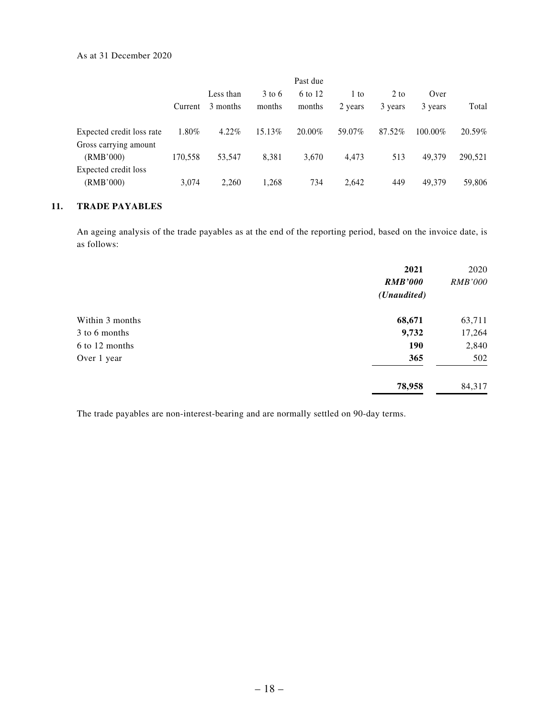|                                                    | Past due |                       |                    |                   |                   |                   |                 |         |
|----------------------------------------------------|----------|-----------------------|--------------------|-------------------|-------------------|-------------------|-----------------|---------|
|                                                    | Current  | Less than<br>3 months | $3$ to 6<br>months | 6 to 12<br>months | $1$ to<br>2 years | $2$ to<br>3 years | Over<br>3 years | Total   |
| Expected credit loss rate<br>Gross carrying amount | 1.80%    | 4.22%                 | 15.13\%            | $20.00\%$         | 59.07%            | 87.52%            | $100.00\%$      | 20.59%  |
| (RMB'000)<br>Expected credit loss                  | 170,558  | 53.547                | 8,381              | 3,670             | 4,473             | 513               | 49.379          | 290,521 |
| (RMB'000)                                          | 3,074    | 2,260                 | 1,268              | 734               | 2,642             | 449               | 49,379          | 59,806  |

#### **11. TRADE PAYABLES**

An ageing analysis of the trade payables as at the end of the reporting period, based on the invoice date, is as follows:

|                 | 2021                 | 2020           |
|-----------------|----------------------|----------------|
|                 | <b>RMB'000</b>       | <b>RMB'000</b> |
|                 | ( <i>Unaudited</i> ) |                |
| Within 3 months | 68,671               | 63,711         |
| 3 to 6 months   | 9,732                | 17,264         |
| 6 to 12 months  | 190                  | 2,840          |
| Over 1 year     | 365                  | 502            |
|                 | 78,958               | 84,317         |

The trade payables are non-interest-bearing and are normally settled on 90-day terms.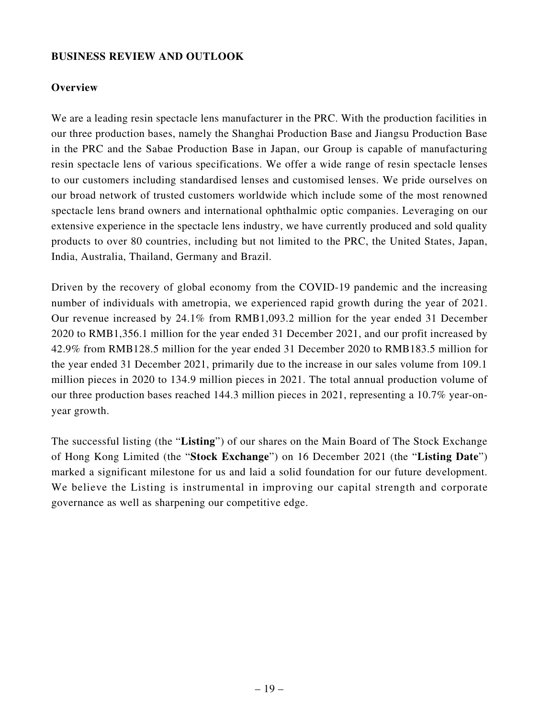### **BUSINESS REVIEW AND OUTLOOK**

### **Overview**

We are a leading resin spectacle lens manufacturer in the PRC. With the production facilities in our three production bases, namely the Shanghai Production Base and Jiangsu Production Base in the PRC and the Sabae Production Base in Japan, our Group is capable of manufacturing resin spectacle lens of various specifications. We offer a wide range of resin spectacle lenses to our customers including standardised lenses and customised lenses. We pride ourselves on our broad network of trusted customers worldwide which include some of the most renowned spectacle lens brand owners and international ophthalmic optic companies. Leveraging on our extensive experience in the spectacle lens industry, we have currently produced and sold quality products to over 80 countries, including but not limited to the PRC, the United States, Japan, India, Australia, Thailand, Germany and Brazil.

Driven by the recovery of global economy from the COVID-19 pandemic and the increasing number of individuals with ametropia, we experienced rapid growth during the year of 2021. Our revenue increased by 24.1% from RMB1,093.2 million for the year ended 31 December 2020 to RMB1,356.1 million for the year ended 31 December 2021, and our profit increased by 42.9% from RMB128.5 million for the year ended 31 December 2020 to RMB183.5 million for the year ended 31 December 2021, primarily due to the increase in our sales volume from 109.1 million pieces in 2020 to 134.9 million pieces in 2021. The total annual production volume of our three production bases reached 144.3 million pieces in 2021, representing a 10.7% year-onyear growth.

The successful listing (the "**Listing**") of our shares on the Main Board of The Stock Exchange of Hong Kong Limited (the "**Stock Exchange**") on 16 December 2021 (the "**Listing Date**") marked a significant milestone for us and laid a solid foundation for our future development. We believe the Listing is instrumental in improving our capital strength and corporate governance as well as sharpening our competitive edge.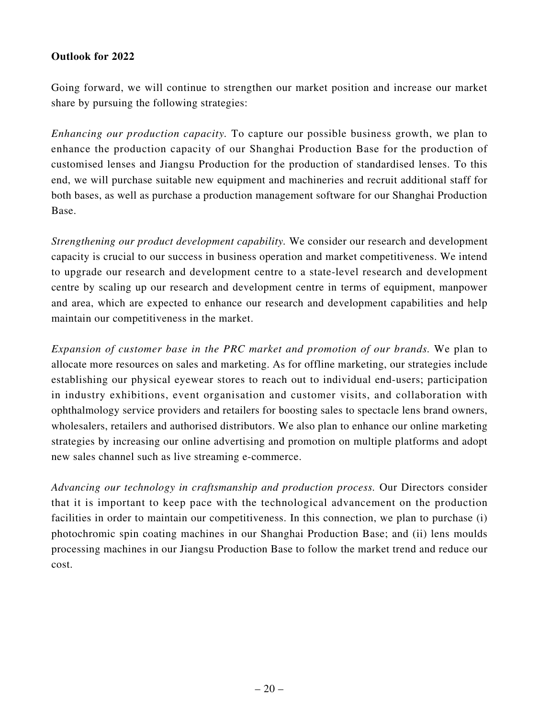### **Outlook for 2022**

Going forward, we will continue to strengthen our market position and increase our market share by pursuing the following strategies:

*Enhancing our production capacity.* To capture our possible business growth, we plan to enhance the production capacity of our Shanghai Production Base for the production of customised lenses and Jiangsu Production for the production of standardised lenses. To this end, we will purchase suitable new equipment and machineries and recruit additional staff for both bases, as well as purchase a production management software for our Shanghai Production Base.

*Strengthening our product development capability.* We consider our research and development capacity is crucial to our success in business operation and market competitiveness. We intend to upgrade our research and development centre to a state-level research and development centre by scaling up our research and development centre in terms of equipment, manpower and area, which are expected to enhance our research and development capabilities and help maintain our competitiveness in the market.

*Expansion of customer base in the PRC market and promotion of our brands.* We plan to allocate more resources on sales and marketing. As for offline marketing, our strategies include establishing our physical eyewear stores to reach out to individual end-users; participation in industry exhibitions, event organisation and customer visits, and collaboration with ophthalmology service providers and retailers for boosting sales to spectacle lens brand owners, wholesalers, retailers and authorised distributors. We also plan to enhance our online marketing strategies by increasing our online advertising and promotion on multiple platforms and adopt new sales channel such as live streaming e-commerce.

*Advancing our technology in craftsmanship and production process.* Our Directors consider that it is important to keep pace with the technological advancement on the production facilities in order to maintain our competitiveness. In this connection, we plan to purchase (i) photochromic spin coating machines in our Shanghai Production Base; and (ii) lens moulds processing machines in our Jiangsu Production Base to follow the market trend and reduce our cost.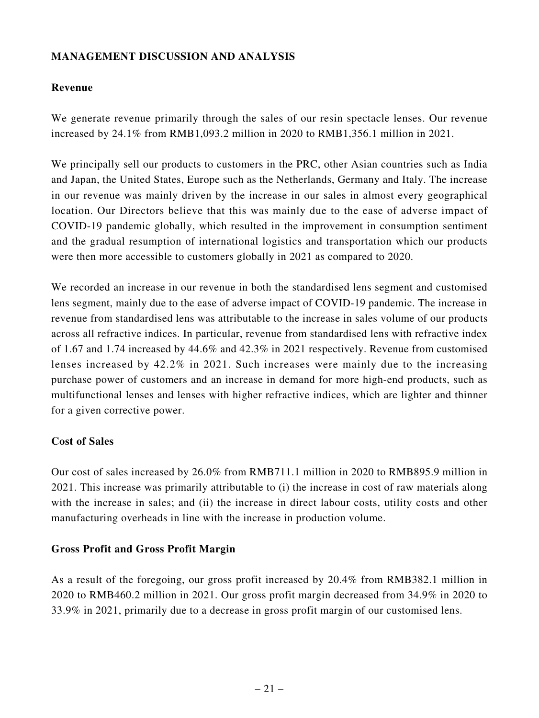# **MANAGEMENT DISCUSSION AND ANALYSIS**

## **Revenue**

We generate revenue primarily through the sales of our resin spectacle lenses. Our revenue increased by 24.1% from RMB1,093.2 million in 2020 to RMB1,356.1 million in 2021.

We principally sell our products to customers in the PRC, other Asian countries such as India and Japan, the United States, Europe such as the Netherlands, Germany and Italy. The increase in our revenue was mainly driven by the increase in our sales in almost every geographical location. Our Directors believe that this was mainly due to the ease of adverse impact of COVID-19 pandemic globally, which resulted in the improvement in consumption sentiment and the gradual resumption of international logistics and transportation which our products were then more accessible to customers globally in 2021 as compared to 2020.

We recorded an increase in our revenue in both the standardised lens segment and customised lens segment, mainly due to the ease of adverse impact of COVID-19 pandemic. The increase in revenue from standardised lens was attributable to the increase in sales volume of our products across all refractive indices. In particular, revenue from standardised lens with refractive index of 1.67 and 1.74 increased by 44.6% and 42.3% in 2021 respectively. Revenue from customised lenses increased by 42.2% in 2021. Such increases were mainly due to the increasing purchase power of customers and an increase in demand for more high-end products, such as multifunctional lenses and lenses with higher refractive indices, which are lighter and thinner for a given corrective power.

### **Cost of Sales**

Our cost of sales increased by 26.0% from RMB711.1 million in 2020 to RMB895.9 million in 2021. This increase was primarily attributable to (i) the increase in cost of raw materials along with the increase in sales; and (ii) the increase in direct labour costs, utility costs and other manufacturing overheads in line with the increase in production volume.

### **Gross Profit and Gross Profit Margin**

As a result of the foregoing, our gross profit increased by 20.4% from RMB382.1 million in 2020 to RMB460.2 million in 2021. Our gross profit margin decreased from 34.9% in 2020 to 33.9% in 2021, primarily due to a decrease in gross profit margin of our customised lens.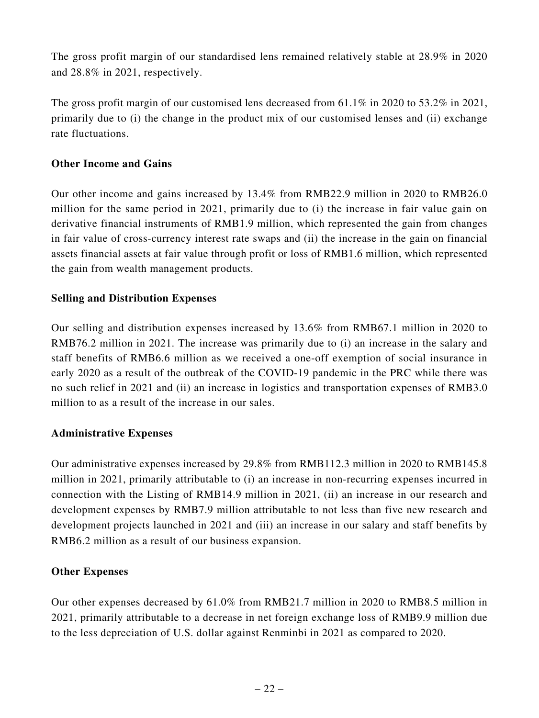The gross profit margin of our standardised lens remained relatively stable at 28.9% in 2020 and 28.8% in 2021, respectively.

The gross profit margin of our customised lens decreased from  $61.1\%$  in 2020 to  $53.2\%$  in 2021, primarily due to (i) the change in the product mix of our customised lenses and (ii) exchange rate fluctuations.

### **Other Income and Gains**

Our other income and gains increased by 13.4% from RMB22.9 million in 2020 to RMB26.0 million for the same period in 2021, primarily due to (i) the increase in fair value gain on derivative financial instruments of RMB1.9 million, which represented the gain from changes in fair value of cross-currency interest rate swaps and (ii) the increase in the gain on financial assets financial assets at fair value through profit or loss of RMB1.6 million, which represented the gain from wealth management products.

### **Selling and Distribution Expenses**

Our selling and distribution expenses increased by 13.6% from RMB67.1 million in 2020 to RMB76.2 million in 2021. The increase was primarily due to (i) an increase in the salary and staff benefits of RMB6.6 million as we received a one-off exemption of social insurance in early 2020 as a result of the outbreak of the COVID-19 pandemic in the PRC while there was no such relief in 2021 and (ii) an increase in logistics and transportation expenses of RMB3.0 million to as a result of the increase in our sales.

### **Administrative Expenses**

Our administrative expenses increased by 29.8% from RMB112.3 million in 2020 to RMB145.8 million in 2021, primarily attributable to (i) an increase in non-recurring expenses incurred in connection with the Listing of RMB14.9 million in 2021, (ii) an increase in our research and development expenses by RMB7.9 million attributable to not less than five new research and development projects launched in 2021 and (iii) an increase in our salary and staff benefits by RMB6.2 million as a result of our business expansion.

### **Other Expenses**

Our other expenses decreased by 61.0% from RMB21.7 million in 2020 to RMB8.5 million in 2021, primarily attributable to a decrease in net foreign exchange loss of RMB9.9 million due to the less depreciation of U.S. dollar against Renminbi in 2021 as compared to 2020.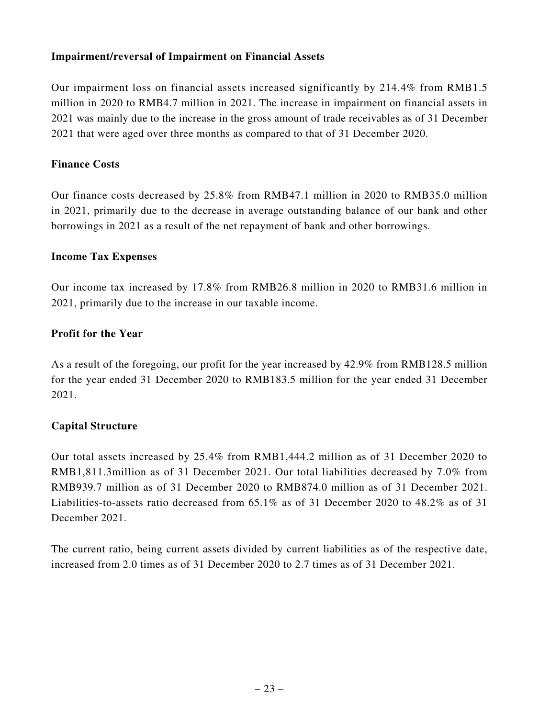### **Impairment/reversal of Impairment on Financial Assets**

Our impairment loss on financial assets increased significantly by 214.4% from RMB1.5 million in 2020 to RMB4.7 million in 2021. The increase in impairment on financial assets in 2021 was mainly due to the increase in the gross amount of trade receivables as of 31 December 2021 that were aged over three months as compared to that of 31 December 2020.

#### **Finance Costs**

Our finance costs decreased by 25.8% from RMB47.1 million in 2020 to RMB35.0 million in 2021, primarily due to the decrease in average outstanding balance of our bank and other borrowings in 2021 as a result of the net repayment of bank and other borrowings.

### **Income Tax Expenses**

Our income tax increased by 17.8% from RMB26.8 million in 2020 to RMB31.6 million in 2021, primarily due to the increase in our taxable income.

### **Profit for the Year**

As a result of the foregoing, our profit for the year increased by 42.9% from RMB128.5 million for the year ended 31 December 2020 to RMB183.5 million for the year ended 31 December 2021.

### **Capital Structure**

Our total assets increased by 25.4% from RMB1,444.2 million as of 31 December 2020 to RMB1,811.3million as of 31 December 2021. Our total liabilities decreased by 7.0% from RMB939.7 million as of 31 December 2020 to RMB874.0 million as of 31 December 2021. Liabilities-to-assets ratio decreased from 65.1% as of 31 December 2020 to 48.2% as of 31 December 2021.

The current ratio, being current assets divided by current liabilities as of the respective date, increased from 2.0 times as of 31 December 2020 to 2.7 times as of 31 December 2021.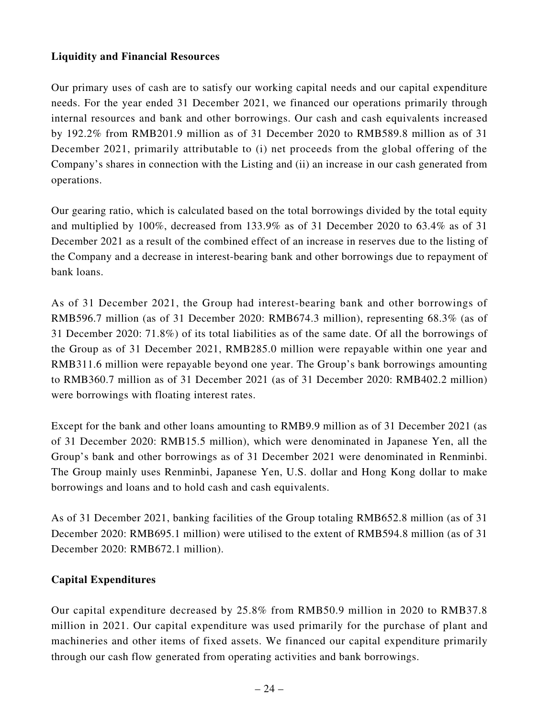# **Liquidity and Financial Resources**

Our primary uses of cash are to satisfy our working capital needs and our capital expenditure needs. For the year ended 31 December 2021, we financed our operations primarily through internal resources and bank and other borrowings. Our cash and cash equivalents increased by 192.2% from RMB201.9 million as of 31 December 2020 to RMB589.8 million as of 31 December 2021, primarily attributable to (i) net proceeds from the global offering of the Company's shares in connection with the Listing and (ii) an increase in our cash generated from operations.

Our gearing ratio, which is calculated based on the total borrowings divided by the total equity and multiplied by 100%, decreased from 133.9% as of 31 December 2020 to 63.4% as of 31 December 2021 as a result of the combined effect of an increase in reserves due to the listing of the Company and a decrease in interest-bearing bank and other borrowings due to repayment of bank loans.

As of 31 December 2021, the Group had interest-bearing bank and other borrowings of RMB596.7 million (as of 31 December 2020: RMB674.3 million), representing 68.3% (as of 31 December 2020: 71.8%) of its total liabilities as of the same date. Of all the borrowings of the Group as of 31 December 2021, RMB285.0 million were repayable within one year and RMB311.6 million were repayable beyond one year. The Group's bank borrowings amounting to RMB360.7 million as of 31 December 2021 (as of 31 December 2020: RMB402.2 million) were borrowings with floating interest rates.

Except for the bank and other loans amounting to RMB9.9 million as of 31 December 2021 (as of 31 December 2020: RMB15.5 million), which were denominated in Japanese Yen, all the Group's bank and other borrowings as of 31 December 2021 were denominated in Renminbi. The Group mainly uses Renminbi, Japanese Yen, U.S. dollar and Hong Kong dollar to make borrowings and loans and to hold cash and cash equivalents.

As of 31 December 2021, banking facilities of the Group totaling RMB652.8 million (as of 31 December 2020: RMB695.1 million) were utilised to the extent of RMB594.8 million (as of 31 December 2020: RMB672.1 million).

### **Capital Expenditures**

Our capital expenditure decreased by 25.8% from RMB50.9 million in 2020 to RMB37.8 million in 2021. Our capital expenditure was used primarily for the purchase of plant and machineries and other items of fixed assets. We financed our capital expenditure primarily through our cash flow generated from operating activities and bank borrowings.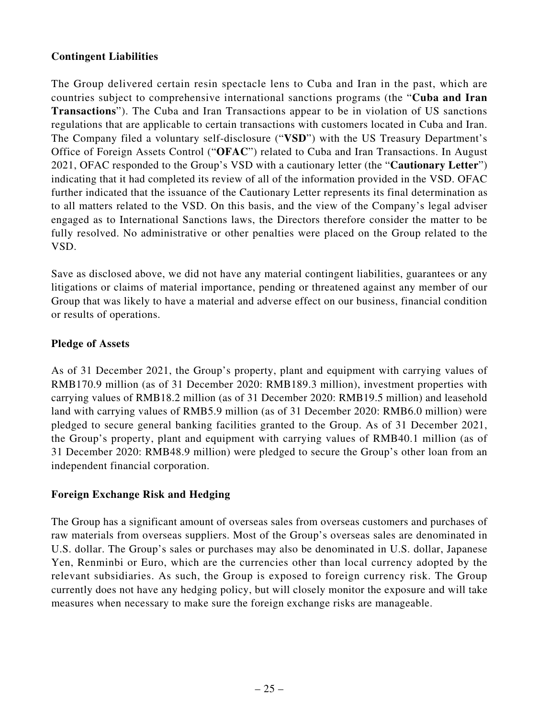# **Contingent Liabilities**

The Group delivered certain resin spectacle lens to Cuba and Iran in the past, which are countries subject to comprehensive international sanctions programs (the "**Cuba and Iran Transactions**"). The Cuba and Iran Transactions appear to be in violation of US sanctions regulations that are applicable to certain transactions with customers located in Cuba and Iran. The Company filed a voluntary self-disclosure ("**VSD**") with the US Treasury Department's Office of Foreign Assets Control ("**OFAC**") related to Cuba and Iran Transactions. In August 2021, OFAC responded to the Group's VSD with a cautionary letter (the "**Cautionary Letter**") indicating that it had completed its review of all of the information provided in the VSD. OFAC further indicated that the issuance of the Cautionary Letter represents its final determination as to all matters related to the VSD. On this basis, and the view of the Company's legal adviser engaged as to International Sanctions laws, the Directors therefore consider the matter to be fully resolved. No administrative or other penalties were placed on the Group related to the VSD.

Save as disclosed above, we did not have any material contingent liabilities, guarantees or any litigations or claims of material importance, pending or threatened against any member of our Group that was likely to have a material and adverse effect on our business, financial condition or results of operations.

# **Pledge of Assets**

As of 31 December 2021, the Group's property, plant and equipment with carrying values of RMB170.9 million (as of 31 December 2020: RMB189.3 million), investment properties with carrying values of RMB18.2 million (as of 31 December 2020: RMB19.5 million) and leasehold land with carrying values of RMB5.9 million (as of 31 December 2020: RMB6.0 million) were pledged to secure general banking facilities granted to the Group. As of 31 December 2021, the Group's property, plant and equipment with carrying values of RMB40.1 million (as of 31 December 2020: RMB48.9 million) were pledged to secure the Group's other loan from an independent financial corporation.

### **Foreign Exchange Risk and Hedging**

The Group has a significant amount of overseas sales from overseas customers and purchases of raw materials from overseas suppliers. Most of the Group's overseas sales are denominated in U.S. dollar. The Group's sales or purchases may also be denominated in U.S. dollar, Japanese Yen, Renminbi or Euro, which are the currencies other than local currency adopted by the relevant subsidiaries. As such, the Group is exposed to foreign currency risk. The Group currently does not have any hedging policy, but will closely monitor the exposure and will take measures when necessary to make sure the foreign exchange risks are manageable.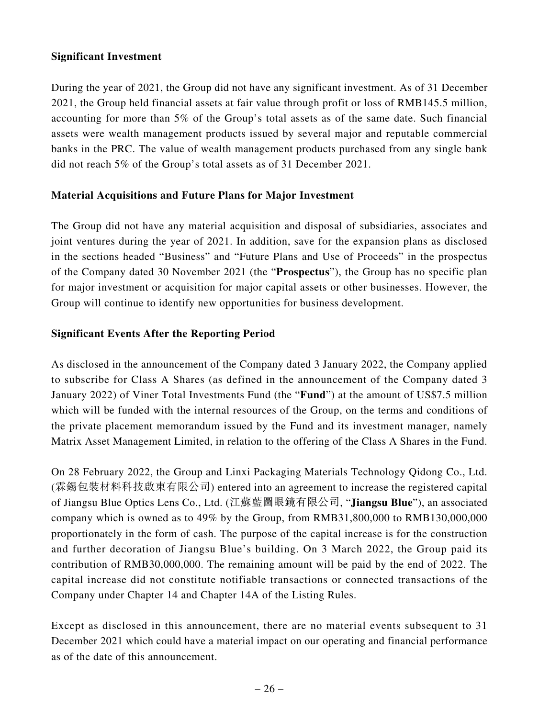### **Significant Investment**

During the year of 2021, the Group did not have any significant investment. As of 31 December 2021, the Group held financial assets at fair value through profit or loss of RMB145.5 million, accounting for more than 5% of the Group's total assets as of the same date. Such financial assets were wealth management products issued by several major and reputable commercial banks in the PRC. The value of wealth management products purchased from any single bank did not reach 5% of the Group's total assets as of 31 December 2021.

# **Material Acquisitions and Future Plans for Major Investment**

The Group did not have any material acquisition and disposal of subsidiaries, associates and joint ventures during the year of 2021. In addition, save for the expansion plans as disclosed in the sections headed "Business" and "Future Plans and Use of Proceeds" in the prospectus of the Company dated 30 November 2021 (the "**Prospectus**"), the Group has no specific plan for major investment or acquisition for major capital assets or other businesses. However, the Group will continue to identify new opportunities for business development.

# **Significant Events After the Reporting Period**

As disclosed in the announcement of the Company dated 3 January 2022, the Company applied to subscribe for Class A Shares (as defined in the announcement of the Company dated 3 January 2022) of Viner Total Investments Fund (the "**Fund**") at the amount of US\$7.5 million which will be funded with the internal resources of the Group, on the terms and conditions of the private placement memorandum issued by the Fund and its investment manager, namely Matrix Asset Management Limited, in relation to the offering of the Class A Shares in the Fund.

On 28 February 2022, the Group and Linxi Packaging Materials Technology Qidong Co., Ltd. (霖錫包裝材料科技啟東有限公司) entered into an agreement to increase the registered capital of Jiangsu Blue Optics Lens Co., Ltd. (江蘇藍圖眼鏡有限公司, "**Jiangsu Blue**"), an associated company which is owned as to 49% by the Group, from RMB31,800,000 to RMB130,000,000 proportionately in the form of cash. The purpose of the capital increase is for the construction and further decoration of Jiangsu Blue's building. On 3 March 2022, the Group paid its contribution of RMB30,000,000. The remaining amount will be paid by the end of 2022. The capital increase did not constitute notifiable transactions or connected transactions of the Company under Chapter 14 and Chapter 14A of the Listing Rules.

Except as disclosed in this announcement, there are no material events subsequent to 31 December 2021 which could have a material impact on our operating and financial performance as of the date of this announcement.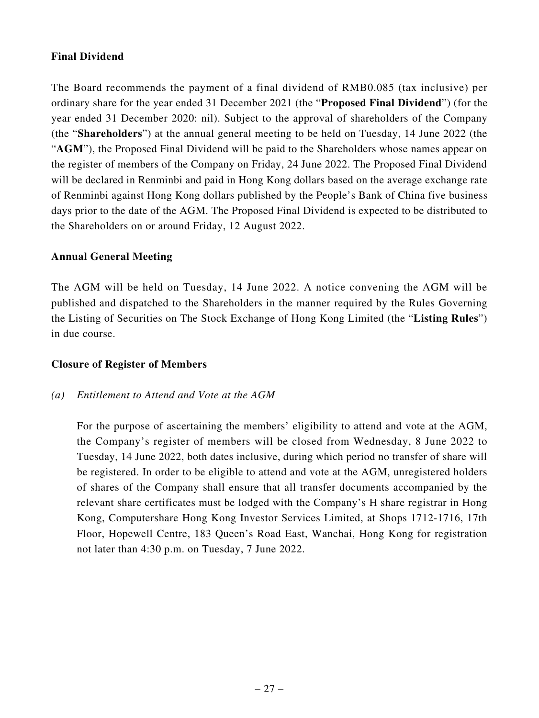# **Final Dividend**

The Board recommends the payment of a final dividend of RMB0.085 (tax inclusive) per ordinary share for the year ended 31 December 2021 (the "**Proposed Final Dividend**") (for the year ended 31 December 2020: nil). Subject to the approval of shareholders of the Company (the "**Shareholders**") at the annual general meeting to be held on Tuesday, 14 June 2022 (the "**AGM**"), the Proposed Final Dividend will be paid to the Shareholders whose names appear on the register of members of the Company on Friday, 24 June 2022. The Proposed Final Dividend will be declared in Renminbi and paid in Hong Kong dollars based on the average exchange rate of Renminbi against Hong Kong dollars published by the People's Bank of China five business days prior to the date of the AGM. The Proposed Final Dividend is expected to be distributed to the Shareholders on or around Friday, 12 August 2022.

### **Annual General Meeting**

The AGM will be held on Tuesday, 14 June 2022. A notice convening the AGM will be published and dispatched to the Shareholders in the manner required by the Rules Governing the Listing of Securities on The Stock Exchange of Hong Kong Limited (the "**Listing Rules**") in due course.

### **Closure of Register of Members**

### *(a) Entitlement to Attend and Vote at the AGM*

For the purpose of ascertaining the members' eligibility to attend and vote at the AGM, the Company's register of members will be closed from Wednesday, 8 June 2022 to Tuesday, 14 June 2022, both dates inclusive, during which period no transfer of share will be registered. In order to be eligible to attend and vote at the AGM, unregistered holders of shares of the Company shall ensure that all transfer documents accompanied by the relevant share certificates must be lodged with the Company's H share registrar in Hong Kong, Computershare Hong Kong Investor Services Limited, at Shops 1712-1716, 17th Floor, Hopewell Centre, 183 Queen's Road East, Wanchai, Hong Kong for registration not later than 4:30 p.m. on Tuesday, 7 June 2022.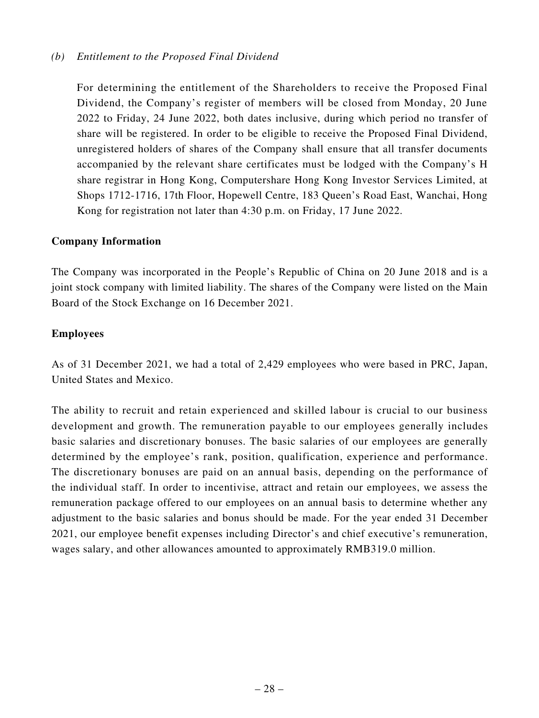#### *(b) Entitlement to the Proposed Final Dividend*

For determining the entitlement of the Shareholders to receive the Proposed Final Dividend, the Company's register of members will be closed from Monday, 20 June 2022 to Friday, 24 June 2022, both dates inclusive, during which period no transfer of share will be registered. In order to be eligible to receive the Proposed Final Dividend, unregistered holders of shares of the Company shall ensure that all transfer documents accompanied by the relevant share certificates must be lodged with the Company's H share registrar in Hong Kong, Computershare Hong Kong Investor Services Limited, at Shops 1712-1716, 17th Floor, Hopewell Centre, 183 Queen's Road East, Wanchai, Hong Kong for registration not later than 4:30 p.m. on Friday, 17 June 2022.

#### **Company Information**

The Company was incorporated in the People's Republic of China on 20 June 2018 and is a joint stock company with limited liability. The shares of the Company were listed on the Main Board of the Stock Exchange on 16 December 2021.

#### **Employees**

As of 31 December 2021, we had a total of 2,429 employees who were based in PRC, Japan, United States and Mexico.

The ability to recruit and retain experienced and skilled labour is crucial to our business development and growth. The remuneration payable to our employees generally includes basic salaries and discretionary bonuses. The basic salaries of our employees are generally determined by the employee's rank, position, qualification, experience and performance. The discretionary bonuses are paid on an annual basis, depending on the performance of the individual staff. In order to incentivise, attract and retain our employees, we assess the remuneration package offered to our employees on an annual basis to determine whether any adjustment to the basic salaries and bonus should be made. For the year ended 31 December 2021, our employee benefit expenses including Director's and chief executive's remuneration, wages salary, and other allowances amounted to approximately RMB319.0 million.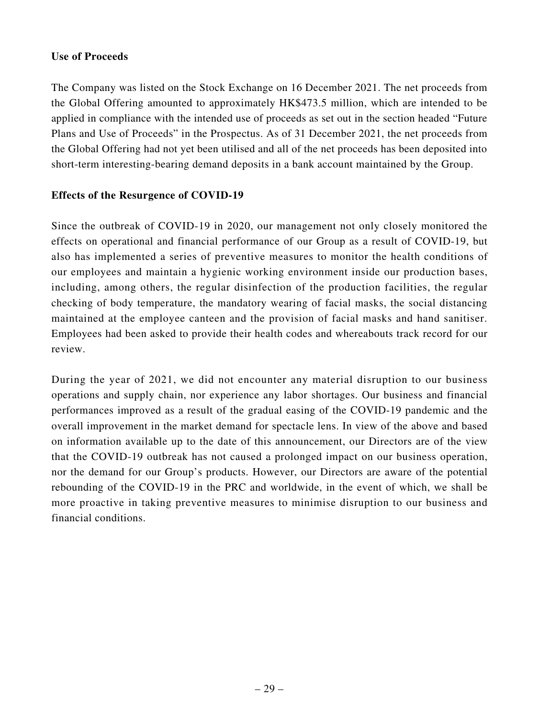### **Use of Proceeds**

The Company was listed on the Stock Exchange on 16 December 2021. The net proceeds from the Global Offering amounted to approximately HK\$473.5 million, which are intended to be applied in compliance with the intended use of proceeds as set out in the section headed "Future Plans and Use of Proceeds" in the Prospectus. As of 31 December 2021, the net proceeds from the Global Offering had not yet been utilised and all of the net proceeds has been deposited into short-term interesting-bearing demand deposits in a bank account maintained by the Group.

# **Effects of the Resurgence of COVID-19**

Since the outbreak of COVID-19 in 2020, our management not only closely monitored the effects on operational and financial performance of our Group as a result of COVID-19, but also has implemented a series of preventive measures to monitor the health conditions of our employees and maintain a hygienic working environment inside our production bases, including, among others, the regular disinfection of the production facilities, the regular checking of body temperature, the mandatory wearing of facial masks, the social distancing maintained at the employee canteen and the provision of facial masks and hand sanitiser. Employees had been asked to provide their health codes and whereabouts track record for our review.

During the year of 2021, we did not encounter any material disruption to our business operations and supply chain, nor experience any labor shortages. Our business and financial performances improved as a result of the gradual easing of the COVID-19 pandemic and the overall improvement in the market demand for spectacle lens. In view of the above and based on information available up to the date of this announcement, our Directors are of the view that the COVID-19 outbreak has not caused a prolonged impact on our business operation, nor the demand for our Group's products. However, our Directors are aware of the potential rebounding of the COVID-19 in the PRC and worldwide, in the event of which, we shall be more proactive in taking preventive measures to minimise disruption to our business and financial conditions.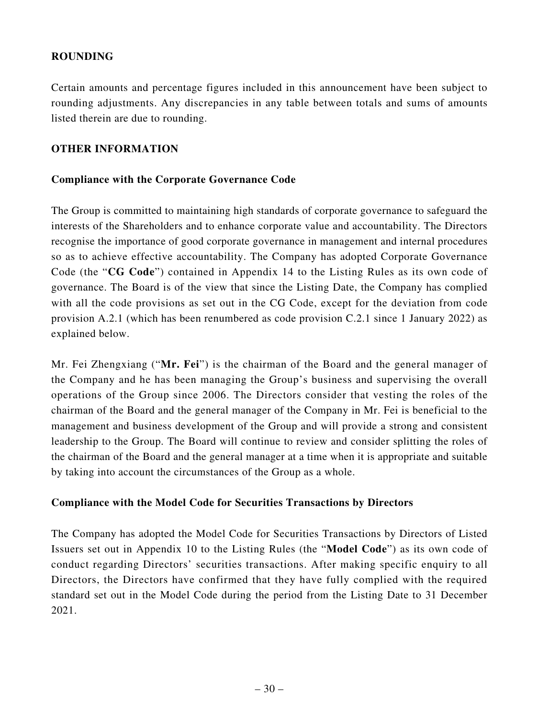### **ROUNDING**

Certain amounts and percentage figures included in this announcement have been subject to rounding adjustments. Any discrepancies in any table between totals and sums of amounts listed therein are due to rounding.

### **OTHER INFORMATION**

#### **Compliance with the Corporate Governance Code**

The Group is committed to maintaining high standards of corporate governance to safeguard the interests of the Shareholders and to enhance corporate value and accountability. The Directors recognise the importance of good corporate governance in management and internal procedures so as to achieve effective accountability. The Company has adopted Corporate Governance Code (the "**CG Code**") contained in Appendix 14 to the Listing Rules as its own code of governance. The Board is of the view that since the Listing Date, the Company has complied with all the code provisions as set out in the CG Code, except for the deviation from code provision A.2.1 (which has been renumbered as code provision C.2.1 since 1 January 2022) as explained below.

Mr. Fei Zhengxiang ("**Mr. Fei**") is the chairman of the Board and the general manager of the Company and he has been managing the Group's business and supervising the overall operations of the Group since 2006. The Directors consider that vesting the roles of the chairman of the Board and the general manager of the Company in Mr. Fei is beneficial to the management and business development of the Group and will provide a strong and consistent leadership to the Group. The Board will continue to review and consider splitting the roles of the chairman of the Board and the general manager at a time when it is appropriate and suitable by taking into account the circumstances of the Group as a whole.

#### **Compliance with the Model Code for Securities Transactions by Directors**

The Company has adopted the Model Code for Securities Transactions by Directors of Listed Issuers set out in Appendix 10 to the Listing Rules (the "**Model Code**") as its own code of conduct regarding Directors' securities transactions. After making specific enquiry to all Directors, the Directors have confirmed that they have fully complied with the required standard set out in the Model Code during the period from the Listing Date to 31 December 2021.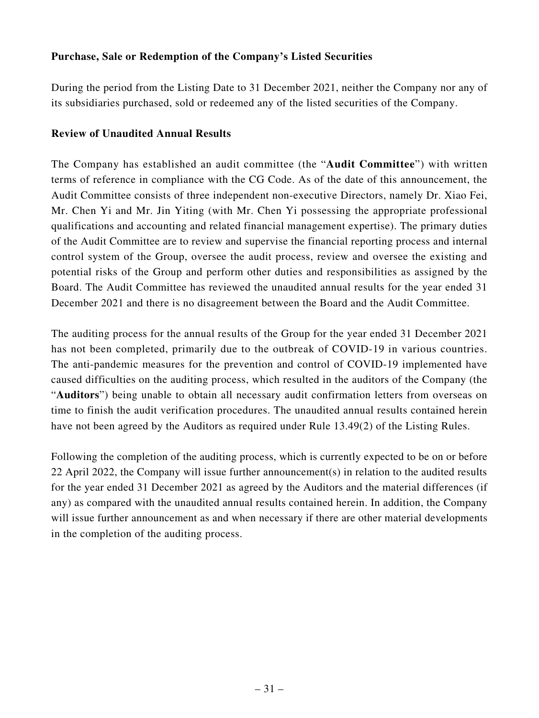# **Purchase, Sale or Redemption of the Company's Listed Securities**

During the period from the Listing Date to 31 December 2021, neither the Company nor any of its subsidiaries purchased, sold or redeemed any of the listed securities of the Company.

#### **Review of Unaudited Annual Results**

The Company has established an audit committee (the "**Audit Committee**") with written terms of reference in compliance with the CG Code. As of the date of this announcement, the Audit Committee consists of three independent non-executive Directors, namely Dr. Xiao Fei, Mr. Chen Yi and Mr. Jin Yiting (with Mr. Chen Yi possessing the appropriate professional qualifications and accounting and related financial management expertise). The primary duties of the Audit Committee are to review and supervise the financial reporting process and internal control system of the Group, oversee the audit process, review and oversee the existing and potential risks of the Group and perform other duties and responsibilities as assigned by the Board. The Audit Committee has reviewed the unaudited annual results for the year ended 31 December 2021 and there is no disagreement between the Board and the Audit Committee.

The auditing process for the annual results of the Group for the year ended 31 December 2021 has not been completed, primarily due to the outbreak of COVID-19 in various countries. The anti-pandemic measures for the prevention and control of COVID-19 implemented have caused difficulties on the auditing process, which resulted in the auditors of the Company (the "**Auditors**") being unable to obtain all necessary audit confirmation letters from overseas on time to finish the audit verification procedures. The unaudited annual results contained herein have not been agreed by the Auditors as required under Rule 13.49(2) of the Listing Rules.

Following the completion of the auditing process, which is currently expected to be on or before 22 April 2022, the Company will issue further announcement(s) in relation to the audited results for the year ended 31 December 2021 as agreed by the Auditors and the material differences (if any) as compared with the unaudited annual results contained herein. In addition, the Company will issue further announcement as and when necessary if there are other material developments in the completion of the auditing process.